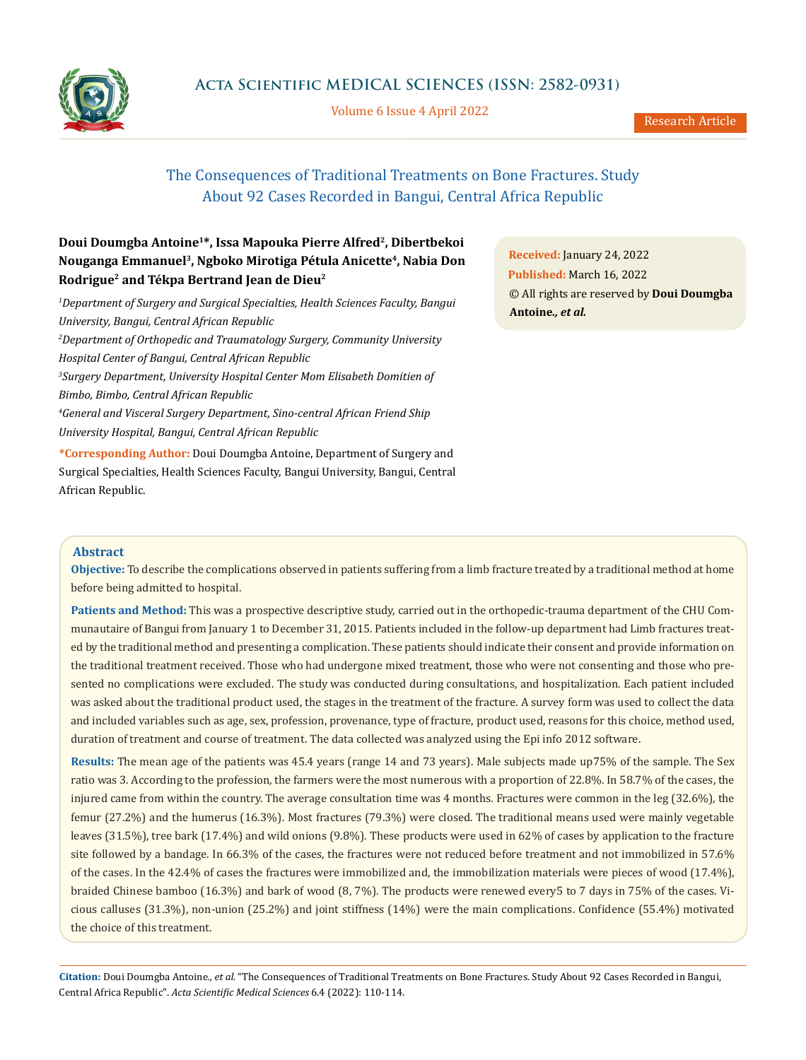

Volume 6 Issue 4 April 2022

# The Consequences of Traditional Treatments on Bone Fractures. Study About 92 Cases Recorded in Bangui, Central Africa Republic

# **Doui Doumgba Antoine1\*, Issa Mapouka Pierre Alfred2, Dibertbekoi Nouganga Emmanuel3, Ngboko Mirotiga Pétula Anicette4, Nabia Don Rodrigue2 and Tékpa Bertrand Jean de Dieu2**

*1 Department of Surgery and Surgical Specialties, Health Sciences Faculty, Bangui University, Bangui, Central African Republic*

*2 Department of Orthopedic and Traumatology Surgery, Community University Hospital Center of Bangui, Central African Republic 3 Surgery Department, University Hospital Center Mom Elisabeth Domitien of* 

*Bimbo, Bimbo, Central African Republic*

*4 General and Visceral Surgery Department, Sino-central African Friend Ship University Hospital, Bangui, Central African Republic*

**\*Corresponding Author:** Doui Doumgba Antoine, Department of Surgery and Surgical Specialties, Health Sciences Faculty, Bangui University, Bangui, Central African Republic.

**Received:** January 24, 2022 **Published:** March 16, 2022 © All rights are reserved by **Doui Doumgba Antoine***., et al.*

# **Abstract**

**Objective:** To describe the complications observed in patients suffering from a limb fracture treated by a traditional method at home before being admitted to hospital.

**Patients and Method:** This was a prospective descriptive study, carried out in the orthopedic-trauma department of the CHU Communautaire of Bangui from January 1 to December 31, 2015. Patients included in the follow-up department had Limb fractures treated by the traditional method and presenting a complication. These patients should indicate their consent and provide information on the traditional treatment received. Those who had undergone mixed treatment, those who were not consenting and those who presented no complications were excluded. The study was conducted during consultations, and hospitalization. Each patient included was asked about the traditional product used, the stages in the treatment of the fracture. A survey form was used to collect the data and included variables such as age, sex, profession, provenance, type of fracture, product used, reasons for this choice, method used, duration of treatment and course of treatment. The data collected was analyzed using the Epi info 2012 software.

**Results:** The mean age of the patients was 45.4 years (range 14 and 73 years). Male subjects made up75% of the sample. The Sex ratio was 3. According to the profession, the farmers were the most numerous with a proportion of 22.8%. In 58.7% of the cases, the injured came from within the country. The average consultation time was 4 months. Fractures were common in the leg (32.6%), the femur (27.2%) and the humerus (16.3%). Most fractures (79.3%) were closed. The traditional means used were mainly vegetable leaves (31.5%), tree bark (17.4%) and wild onions (9.8%). These products were used in 62% of cases by application to the fracture site followed by a bandage. In 66.3% of the cases, the fractures were not reduced before treatment and not immobilized in 57.6% of the cases. In the 42.4% of cases the fractures were immobilized and, the immobilization materials were pieces of wood (17.4%), braided Chinese bamboo (16.3%) and bark of wood (8, 7%). The products were renewed every5 to 7 days in 75% of the cases. Vicious calluses (31.3%), non-union (25.2%) and joint stiffness (14%) were the main complications. Confidence (55.4%) motivated the choice of this treatment.

**Citation:** Doui Doumgba Antoine*., et al.* "The Consequences of Traditional Treatments on Bone Fractures. Study About 92 Cases Recorded in Bangui, Central Africa Republic". *Acta Scientific Medical Sciences* 6.4 (2022): 110-114.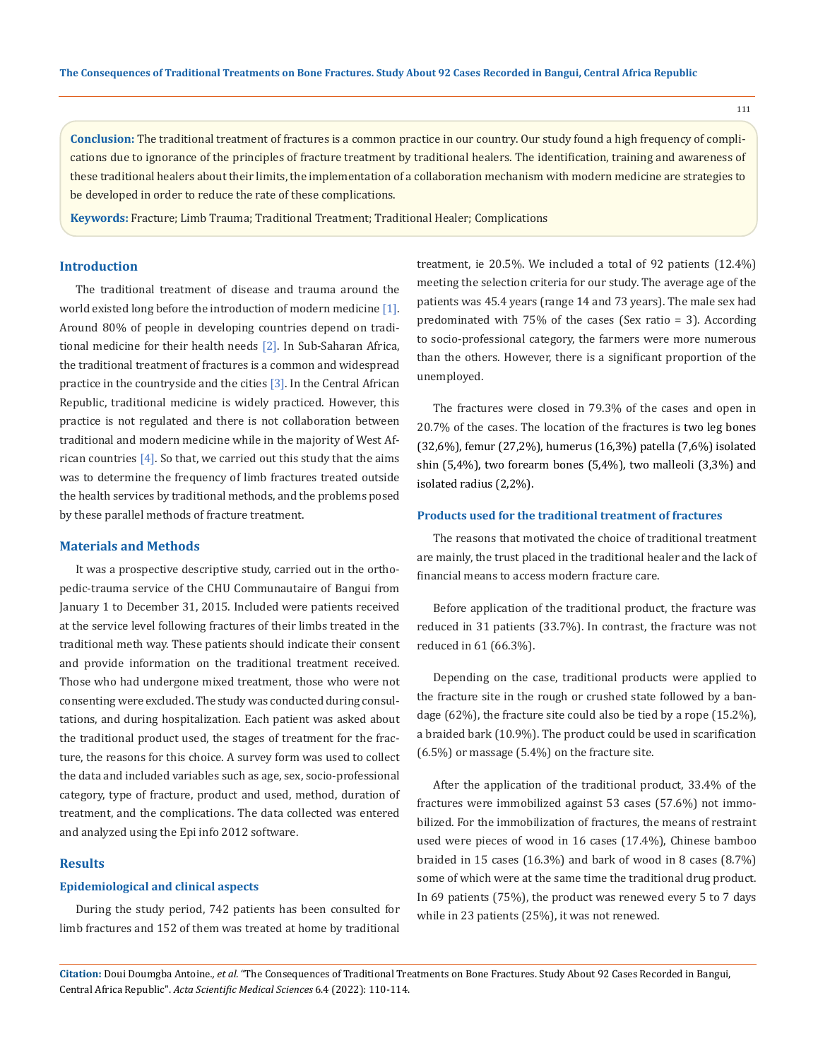111

**Conclusion:** The traditional treatment of fractures is a common practice in our country. Our study found a high frequency of complications due to ignorance of the principles of fracture treatment by traditional healers. The identification, training and awareness of these traditional healers about their limits, the implementation of a collaboration mechanism with modern medicine are strategies to be developed in order to reduce the rate of these complications.

**Keywords:** Fracture; Limb Trauma; Traditional Treatment; Traditional Healer; Complications

# **Introduction**

The traditional treatment of disease and trauma around the world existed long before the introduction of modern medicine [1]. Around 80% of people in developing countries depend on traditional medicine for their health needs [2]. In Sub-Saharan Africa, the traditional treatment of fractures is a common and widespread practice in the countryside and the cities [3]. In the Central African Republic, traditional medicine is widely practiced. However, this practice is not regulated and there is not collaboration between traditional and modern medicine while in the majority of West African countries  $[4]$ . So that, we carried out this study that the aims was to determine the frequency of limb fractures treated outside the health services by traditional methods, and the problems posed by these parallel methods of fracture treatment.

#### **Materials and Methods**

It was a prospective descriptive study, carried out in the orthopedic-trauma service of the CHU Communautaire of Bangui from January 1 to December 31, 2015. Included were patients received at the service level following fractures of their limbs treated in the traditional meth way. These patients should indicate their consent and provide information on the traditional treatment received. Those who had undergone mixed treatment, those who were not consenting were excluded. The study was conducted during consultations, and during hospitalization. Each patient was asked about the traditional product used, the stages of treatment for the fracture, the reasons for this choice. A survey form was used to collect the data and included variables such as age, sex, socio-professional category, type of fracture, product and used, method, duration of treatment, and the complications. The data collected was entered and analyzed using the Epi info 2012 software.

#### **Results**

#### **Epidemiological and clinical aspects**

During the study period, 742 patients has been consulted for limb fractures and 152 of them was treated at home by traditional treatment, ie 20.5%. We included a total of 92 patients (12.4%) meeting the selection criteria for our study. The average age of the patients was 45.4 years (range 14 and 73 years). The male sex had predominated with 75% of the cases (Sex ratio = 3). According to socio-professional category, the farmers were more numerous than the others. However, there is a significant proportion of the unemployed.

The fractures were closed in 79.3% of the cases and open in 20.7% of the cases. The location of the fractures is two leg bones (32,6%), femur (27,2%), humerus (16,3%) patella (7,6%) isolated shin (5,4%), two forearm bones (5,4%), two malleoli (3,3%) and isolated radius (2,2%).

## **Products used for the traditional treatment of fractures**

The reasons that motivated the choice of traditional treatment are mainly, the trust placed in the traditional healer and the lack of financial means to access modern fracture care.

Before application of the traditional product, the fracture was reduced in 31 patients (33.7%). In contrast, the fracture was not reduced in 61 (66.3%).

Depending on the case, traditional products were applied to the fracture site in the rough or crushed state followed by a bandage (62%), the fracture site could also be tied by a rope (15.2%), a braided bark (10.9%). The product could be used in scarification (6.5%) or massage (5.4%) on the fracture site.

After the application of the traditional product, 33.4% of the fractures were immobilized against 53 cases (57.6%) not immobilized. For the immobilization of fractures, the means of restraint used were pieces of wood in 16 cases (17.4%), Chinese bamboo braided in 15 cases (16.3%) and bark of wood in 8 cases (8.7%) some of which were at the same time the traditional drug product. In 69 patients (75%), the product was renewed every 5 to 7 days while in 23 patients (25%), it was not renewed.

**Citation:** Doui Doumgba Antoine*., et al.* "The Consequences of Traditional Treatments on Bone Fractures. Study About 92 Cases Recorded in Bangui, Central Africa Republic". *Acta Scientific Medical Sciences* 6.4 (2022): 110-114.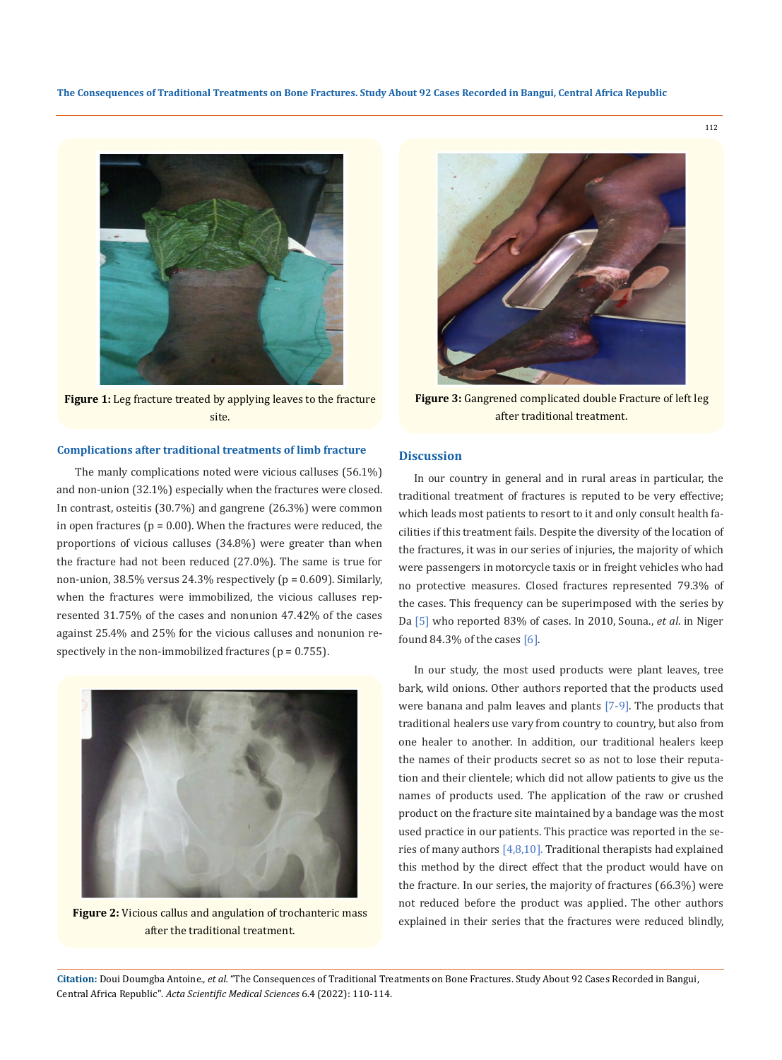

**Figure 1:** Leg fracture treated by applying leaves to the fracture site.

## **Complications after traditional treatments of limb fracture**

The manly complications noted were vicious calluses (56.1%) and non-union (32.1%) especially when the fractures were closed. In contrast, osteitis (30.7%) and gangrene (26.3%) were common in open fractures ( $p = 0.00$ ). When the fractures were reduced, the proportions of vicious calluses (34.8%) were greater than when the fracture had not been reduced (27.0%). The same is true for non-union, 38.5% versus 24.3% respectively (p = 0.609). Similarly, when the fractures were immobilized, the vicious calluses represented 31.75% of the cases and nonunion 47.42% of the cases against 25.4% and 25% for the vicious calluses and nonunion respectively in the non-immobilized fractures ( $p = 0.755$ ).



**Figure 2:** Vicious callus and angulation of trochanteric mass after the traditional treatment.



**Figure 3:** Gangrened complicated double Fracture of left leg after traditional treatment.

#### **Discussion**

In our country in general and in rural areas in particular, the traditional treatment of fractures is reputed to be very effective; which leads most patients to resort to it and only consult health facilities if this treatment fails. Despite the diversity of the location of the fractures, it was in our series of injuries, the majority of which were passengers in motorcycle taxis or in freight vehicles who had no protective measures. Closed fractures represented 79.3% of the cases. This frequency can be superimposed with the series by Da [5] who reported 83% of cases. In 2010, Souna., *et al*. in Niger found 84.3% of the cases [6].

In our study, the most used products were plant leaves, tree bark, wild onions. Other authors reported that the products used were banana and palm leaves and plants [7-9]. The products that traditional healers use vary from country to country, but also from one healer to another. In addition, our traditional healers keep the names of their products secret so as not to lose their reputation and their clientele; which did not allow patients to give us the names of products used. The application of the raw or crushed product on the fracture site maintained by a bandage was the most used practice in our patients. This practice was reported in the series of many authors [4,8,10]. Traditional therapists had explained this method by the direct effect that the product would have on the fracture. In our series, the majority of fractures (66.3%) were not reduced before the product was applied. The other authors explained in their series that the fractures were reduced blindly,

**Citation:** Doui Doumgba Antoine*., et al.* "The Consequences of Traditional Treatments on Bone Fractures. Study About 92 Cases Recorded in Bangui, Central Africa Republic". *Acta Scientific Medical Sciences* 6.4 (2022): 110-114.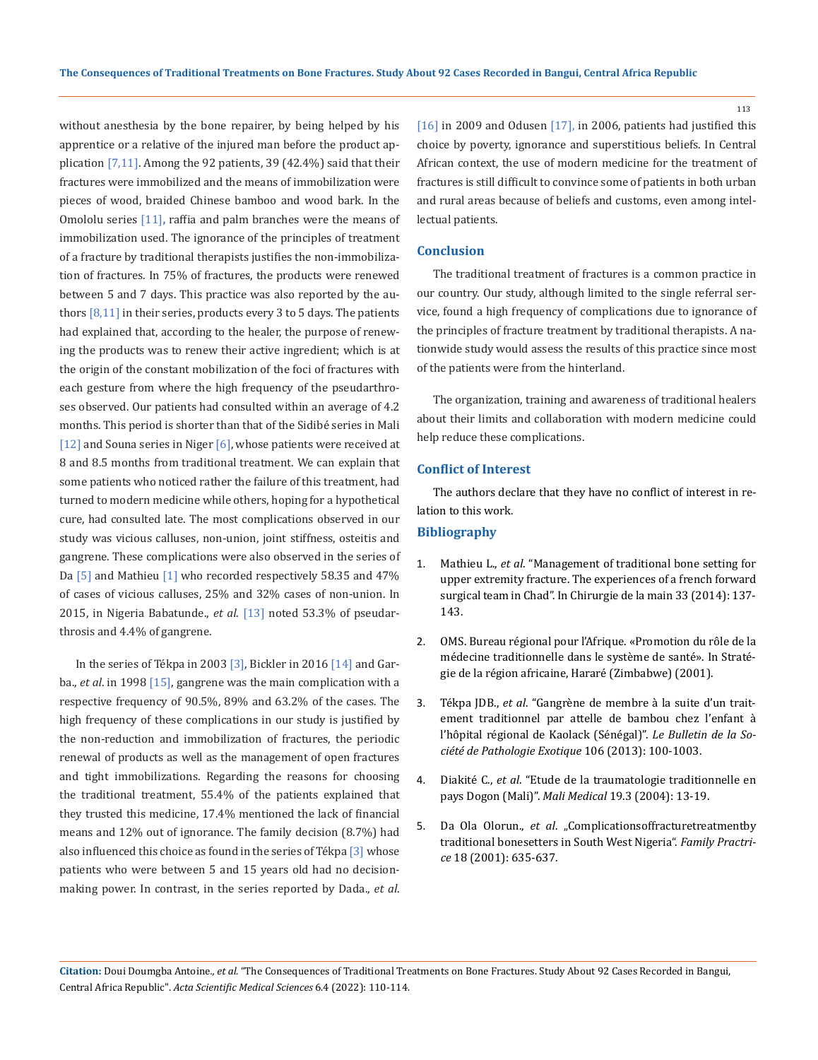without anesthesia by the bone repairer, by being helped by his apprentice or a relative of the injured man before the product application [7,11]. Among the 92 patients, 39 (42.4%) said that their fractures were immobilized and the means of immobilization were pieces of wood, braided Chinese bamboo and wood bark. In the Omololu series [11]**,** raffia and palm branches were the means of immobilization used. The ignorance of the principles of treatment of a fracture by traditional therapists justifies the non-immobilization of fractures. In 75% of fractures, the products were renewed between 5 and 7 days. This practice was also reported by the authors  $[8,11]$  in their series, products every 3 to 5 days. The patients had explained that, according to the healer, the purpose of renewing the products was to renew their active ingredient; which is at the origin of the constant mobilization of the foci of fractures with each gesture from where the high frequency of the pseudarthroses observed. Our patients had consulted within an average of 4.2 months. This period is shorter than that of the Sidibé series in Mali [12] and Souna series in Niger  $[6]$ , whose patients were received at 8 and 8.5 months from traditional treatment. We can explain that some patients who noticed rather the failure of this treatment, had turned to modern medicine while others, hoping for a hypothetical cure, had consulted late. The most complications observed in our study was vicious calluses, non-union, joint stiffness, osteitis and gangrene. These complications were also observed in the series of Da  $[5]$  and Mathieu  $[1]$  who recorded respectively 58.35 and 47% of cases of vicious calluses, 25% and 32% cases of non-union. In 2015, in Nigeria Babatunde., *et al*. [13] noted 53.3% of pseudarthrosis and 4.4% of gangrene.

In the series of Tékpa in 2003 [3], Bickler in 2016 [14] and Garba., *et al*. in 1998 [15], gangrene was the main complication with a respective frequency of 90.5%, 89% and 63.2% of the cases. The high frequency of these complications in our study is justified by the non-reduction and immobilization of fractures, the periodic renewal of products as well as the management of open fractures and tight immobilizations. Regarding the reasons for choosing the traditional treatment, 55.4% of the patients explained that they trusted this medicine, 17.4% mentioned the lack of financial means and 12% out of ignorance. The family decision (8.7%) had also influenced this choice as found in the series of Tékpa  $\lceil 3 \rceil$  whose patients who were between 5 and 15 years old had no decisionmaking power. In contrast, in the series reported by Dada., *et al*.

[16] in 2009 and Odusen [17], in 2006, patients had justified this choice by poverty, ignorance and superstitious beliefs. In Central African context, the use of modern medicine for the treatment of fractures is still difficult to convince some of patients in both urban and rural areas because of beliefs and customs, even among intellectual patients.

# **Conclusion**

The traditional treatment of fractures is a common practice in our country. Our study, although limited to the single referral service, found a high frequency of complications due to ignorance of the principles of fracture treatment by traditional therapists. A nationwide study would assess the results of this practice since most of the patients were from the hinterland.

The organization, training and awareness of traditional healers about their limits and collaboration with modern medicine could help reduce these complications.

#### **Conflict of Interest**

The authors declare that they have no conflict of interest in relation to this work.

#### **Bibliography**

- 1. Mathieu L., *et al*[. "Management of traditional bone setting for](https://pubmed.ncbi.nlm.nih.gov/24679676/) [upper extremity fracture. The experiences of a french forward](https://pubmed.ncbi.nlm.nih.gov/24679676/) [surgical team in Chad". In Chirurgie de la main 33 \(2014\): 137-](https://pubmed.ncbi.nlm.nih.gov/24679676/) [143.](https://pubmed.ncbi.nlm.nih.gov/24679676/)
- 2. OMS. Bureau régional pour l'Afrique. «Promotion du rôle de la médecine traditionnelle dans le système de santé». In Stratégie de la région africaine, Hararé (Zimbabwe) (2001).
- 3. Tékpa JDB., *et al*[. "Gangrène de membre à la suite d'un trait](https://www.researchgate.net/publication/257797285_Gangrene_de_membre_a_la_suite_d)[ement traditionnel par attelle de bambou chez l'enfant à](https://www.researchgate.net/publication/257797285_Gangrene_de_membre_a_la_suite_d) [l'hôpital régional de Kaolack \(Sénégal\)".](https://www.researchgate.net/publication/257797285_Gangrene_de_membre_a_la_suite_d) *Le Bulletin de la So[ciété de Pathologie Exotique](https://www.researchgate.net/publication/257797285_Gangrene_de_membre_a_la_suite_d)* 106 (2013): 100-1003.
- 4. Diakité C., *et al*[. "Etude de la traumatologie traditionnelle en](http://www.malimedical.org/2004/3-4-13.pdf) pays Dogon (Mali)". *Mali Medical* [19.3 \(2004\): 13-19.](http://www.malimedical.org/2004/3-4-13.pdf)
- 5. Da Ola Olorun., *et al.* "Complicationsoffracturetreatmentby [traditional bonesetters in South West Nigeria".](https://pubmed.ncbi.nlm.nih.gov/11739353/) *Family Practrice* [18 \(2001\): 635-637.](https://pubmed.ncbi.nlm.nih.gov/11739353/)

**Citation:** Doui Doumgba Antoine*., et al.* "The Consequences of Traditional Treatments on Bone Fractures. Study About 92 Cases Recorded in Bangui, Central Africa Republic". *Acta Scientific Medical Sciences* 6.4 (2022): 110-114.

113